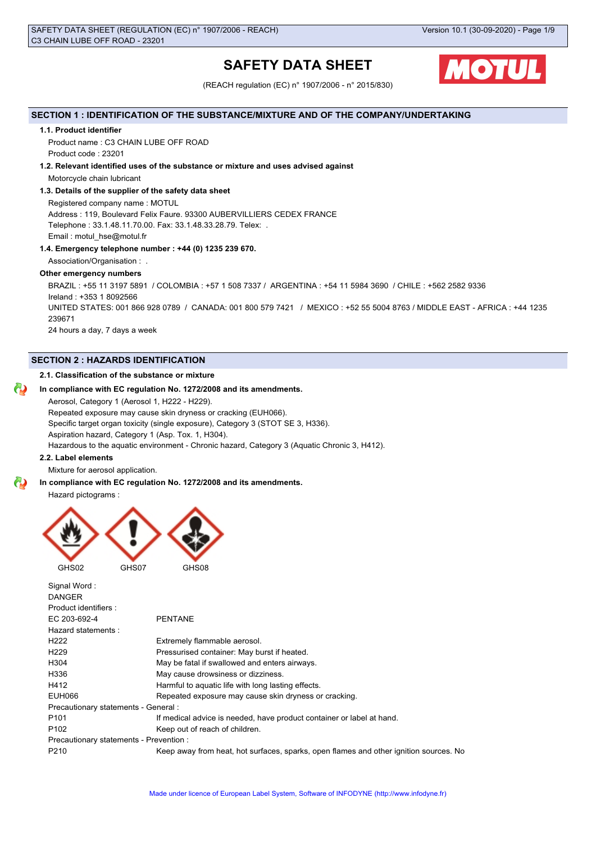# **SAFETY DATA SHEET**



(REACH regulation (EC) n° 1907/2006 - n° 2015/830)

### **SECTION 1 : IDENTIFICATION OF THE SUBSTANCE/MIXTURE AND OF THE COMPANY/UNDERTAKING**

### **1.1. Product identifier**

Product name : C3 CHAIN LUBE OFF ROAD Product code : 23201

### **1.2. Relevant identified uses of the substance or mixture and uses advised against**

Motorcycle chain lubricant

### **1.3. Details of the supplier of the safety data sheet**

Registered company name : MOTUL Address : 119, Boulevard Felix Faure. 93300 AUBERVILLIERS CEDEX FRANCE Telephone : 33.1.48.11.70.00. Fax: 33.1.48.33.28.79. Telex: . Email : motul\_hse@motul.fr

### **1.4. Emergency telephone number : +44 (0) 1235 239 670.**

Association/Organisation : .

### **Other emergency numbers**

BRAZIL : +55 11 3197 5891 / COLOMBIA : +57 1 508 7337 / ARGENTINA : +54 11 5984 3690 / CHILE : +562 2582 9336 Ireland : +353 1 8092566 UNITED STATES: 001 866 928 0789 / CANADA: 001 800 579 7421 / MEXICO : +52 55 5004 8763 / MIDDLE EAST - AFRICA : +44 1235 239671 24 hours a day, 7 days a week

# **SECTION 2 : HAZARDS IDENTIFICATION**

# **2.1. Classification of the substance or mixture**

### **In compliance with EC regulation No. 1272/2008 and its amendments.**

Aerosol, Category 1 (Aerosol 1, H222 - H229).

Repeated exposure may cause skin dryness or cracking (EUH066). Specific target organ toxicity (single exposure), Category 3 (STOT SE 3, H336). Aspiration hazard, Category 1 (Asp. Tox. 1, H304).

Hazardous to the aquatic environment - Chronic hazard, Category 3 (Aquatic Chronic 3, H412).

# **2.2. Label elements**

Signal Word :

Mixture for aerosol application.

### **In compliance with EC regulation No. 1272/2008 and its amendments.**

Hazard pictograms :



| <b>DANGER</b>                           |                                                                                       |
|-----------------------------------------|---------------------------------------------------------------------------------------|
| Product identifiers:                    |                                                                                       |
| EC 203-692-4                            | <b>PENTANE</b>                                                                        |
| Hazard statements:                      |                                                                                       |
| H <sub>222</sub>                        | Extremely flammable aerosol.                                                          |
| H <sub>229</sub>                        | Pressurised container: May burst if heated.                                           |
| H304                                    | May be fatal if swallowed and enters airways.                                         |
| H336                                    | May cause drowsiness or dizziness.                                                    |
| H412                                    | Harmful to aquatic life with long lasting effects.                                    |
| EUH066                                  | Repeated exposure may cause skin dryness or cracking.                                 |
| Precautionary statements - General :    |                                                                                       |
| P <sub>101</sub>                        | If medical advice is needed, have product container or label at hand.                 |
| P <sub>102</sub>                        | Keep out of reach of children.                                                        |
| Precautionary statements - Prevention : |                                                                                       |
| P <sub>210</sub>                        | Keep away from heat, hot surfaces, sparks, open flames and other ignition sources. No |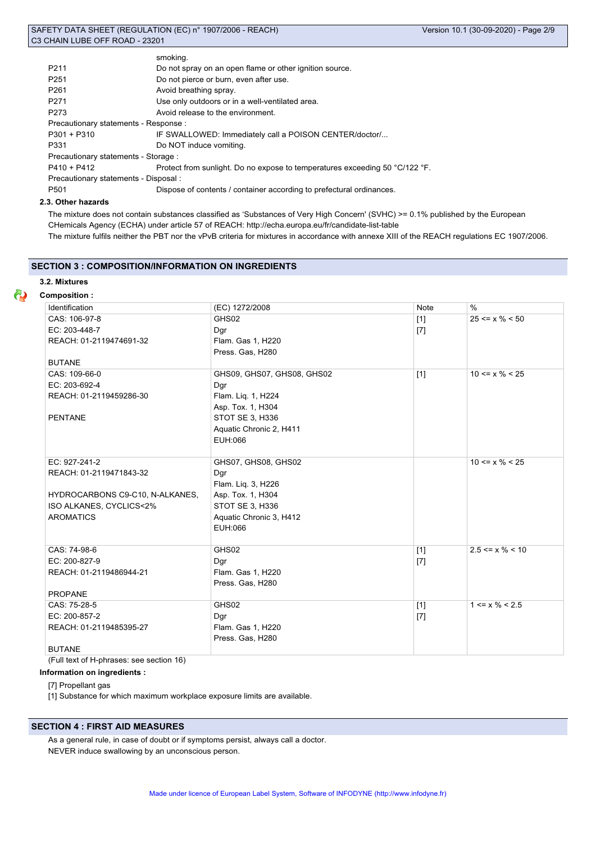|                                       | smoking.                                                                    |
|---------------------------------------|-----------------------------------------------------------------------------|
| P <sub>211</sub>                      | Do not spray on an open flame or other ignition source.                     |
| P <sub>251</sub>                      | Do not pierce or burn, even after use.                                      |
| P <sub>261</sub>                      | Avoid breathing spray.                                                      |
| P <sub>271</sub>                      | Use only outdoors or in a well-ventilated area.                             |
| P273                                  | Avoid release to the environment.                                           |
| Precautionary statements - Response : |                                                                             |
| $P301 + P310$                         | IF SWALLOWED: Immediately call a POISON CENTER/doctor/                      |
| P331                                  | Do NOT induce vomiting.                                                     |
| Precautionary statements - Storage :  |                                                                             |
| $P410 + P412$                         | Protect from sunlight. Do no expose to temperatures exceeding 50 °C/122 °F. |
| Precautionary statements - Disposal : |                                                                             |
| P <sub>501</sub>                      | Dispose of contents / container according to prefectural ordinances.        |
| 2.3. Other hazards                    |                                                                             |

The mixture does not contain substances classified as 'Substances of Very High Concern' (SVHC) >= 0.1% published by the European CHemicals Agency (ECHA) under article 57 of REACH: http://echa.europa.eu/fr/candidate-list-table The mixture fulfils neither the PBT nor the vPvB criteria for mixtures in accordance with annexe XIII of the REACH regulations EC 1907/2006.

### **SECTION 3 : COMPOSITION/INFORMATION ON INGREDIENTS**

#### **3.2. Mixtures**

**Composition :**

| Identification                  | (EC) 1272/2008             | Note  | $\frac{0}{0}$         |
|---------------------------------|----------------------------|-------|-----------------------|
| CAS: 106-97-8                   | GHS02                      | $[1]$ | $25 \le x \% \le 50$  |
| EC: 203-448-7                   | Dgr                        | $[7]$ |                       |
| REACH: 01-2119474691-32         | Flam. Gas 1, H220          |       |                       |
|                                 | Press. Gas, H280           |       |                       |
| <b>BUTANE</b>                   |                            |       |                       |
| CAS: 109-66-0                   | GHS09, GHS07, GHS08, GHS02 | $[1]$ | $10 \le x \% \le 25$  |
| EC: 203-692-4                   | Dgr                        |       |                       |
| REACH: 01-2119459286-30         | Flam. Liq. 1, H224         |       |                       |
|                                 | Asp. Tox. 1, H304          |       |                       |
| <b>PENTANE</b>                  | STOT SE 3, H336            |       |                       |
|                                 | Aquatic Chronic 2, H411    |       |                       |
|                                 | EUH:066                    |       |                       |
|                                 |                            |       |                       |
| EC: 927-241-2                   | GHS07, GHS08, GHS02        |       | $10 \le x \% \le 25$  |
| REACH: 01-2119471843-32         | Dgr                        |       |                       |
|                                 | Flam. Liq. 3, H226         |       |                       |
| HYDROCARBONS C9-C10, N-ALKANES, | Asp. Tox. 1, H304          |       |                       |
| ISO ALKANES, CYCLICS<2%         | STOT SE 3, H336            |       |                       |
| <b>AROMATICS</b>                | Aquatic Chronic 3, H412    |       |                       |
|                                 | EUH:066                    |       |                       |
|                                 |                            |       |                       |
| CAS: 74-98-6                    | GHS02                      | $[1]$ | $2.5 \le x \% \le 10$ |
| EC: 200-827-9                   | Dgr                        | $[7]$ |                       |
| REACH: 01-2119486944-21         | Flam. Gas 1, H220          |       |                       |
|                                 | Press. Gas, H280           |       |                       |
| <b>PROPANE</b>                  |                            |       |                       |
| CAS: 75-28-5                    | GHS02                      | $[1]$ | $1 \le x \% \le 2.5$  |
| EC: 200-857-2                   | Dgr                        | $[7]$ |                       |
| REACH: 01-2119485395-27         | Flam. Gas 1, H220          |       |                       |
|                                 | Press. Gas, H280           |       |                       |
| <b>BUTANE</b>                   |                            |       |                       |

(Full text of H-phrases: see section 16)

# **Information on ingredients :**

# [7] Propellant gas

[1] Substance for which maximum workplace exposure limits are available.

# **SECTION 4 : FIRST AID MEASURES**

As a general rule, in case of doubt or if symptoms persist, always call a doctor. NEVER induce swallowing by an unconscious person.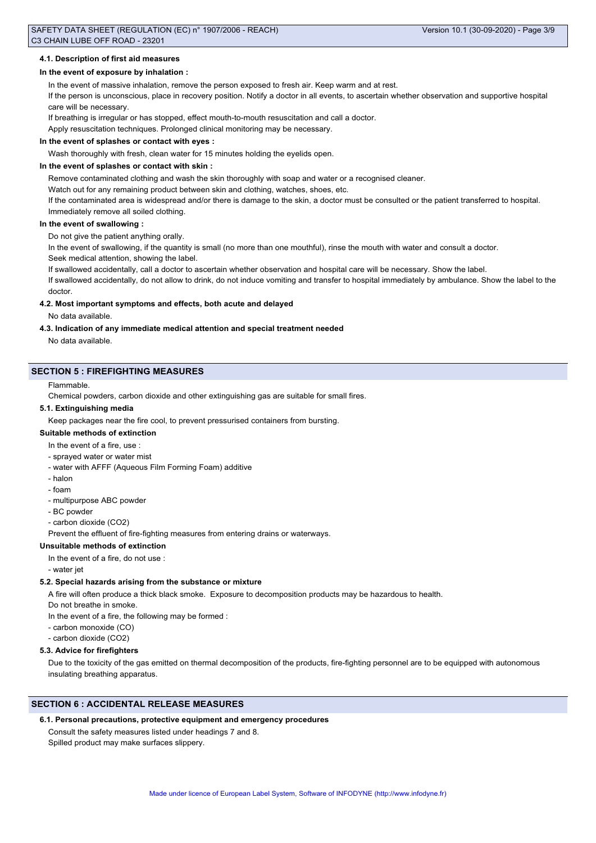### **4.1. Description of first aid measures**

### **In the event of exposure by inhalation :**

In the event of massive inhalation, remove the person exposed to fresh air. Keep warm and at rest.

If the person is unconscious, place in recovery position. Notify a doctor in all events, to ascertain whether observation and supportive hospital care will be necessary.

If breathing is irregular or has stopped, effect mouth-to-mouth resuscitation and call a doctor.

Apply resuscitation techniques. Prolonged clinical monitoring may be necessary.

#### **In the event of splashes or contact with eyes :**

Wash thoroughly with fresh, clean water for 15 minutes holding the eyelids open.

### **In the event of splashes or contact with skin :**

Remove contaminated clothing and wash the skin thoroughly with soap and water or a recognised cleaner.

Watch out for any remaining product between skin and clothing, watches, shoes, etc.

If the contaminated area is widespread and/or there is damage to the skin, a doctor must be consulted or the patient transferred to hospital. Immediately remove all soiled clothing.

#### **In the event of swallowing :**

Do not give the patient anything orally.

In the event of swallowing, if the quantity is small (no more than one mouthful), rinse the mouth with water and consult a doctor. Seek medical attention, showing the label.

If swallowed accidentally, call a doctor to ascertain whether observation and hospital care will be necessary. Show the label.

If swallowed accidentally, do not allow to drink, do not induce vomiting and transfer to hospital immediately by ambulance. Show the label to the doctor.

#### **4.2. Most important symptoms and effects, both acute and delayed**

No data available.

#### **4.3. Indication of any immediate medical attention and special treatment needed**

No data available.

### **SECTION 5 : FIREFIGHTING MEASURES**

### Flammable.

Chemical powders, carbon dioxide and other extinguishing gas are suitable for small fires.

#### **5.1. Extinguishing media**

Keep packages near the fire cool, to prevent pressurised containers from bursting.

#### **Suitable methods of extinction**

In the event of a fire, use :

- sprayed water or water mist
- water with AFFF (Aqueous Film Forming Foam) additive
- halon
- foam
- multipurpose ABC powder
- BC powder
- carbon dioxide (CO2)

Prevent the effluent of fire-fighting measures from entering drains or waterways.

### **Unsuitable methods of extinction**

In the event of a fire, do not use : - water jet

#### **5.2. Special hazards arising from the substance or mixture**

A fire will often produce a thick black smoke. Exposure to decomposition products may be hazardous to health.

Do not breathe in smoke.

In the event of a fire, the following may be formed :

- carbon monoxide (CO)
- carbon dioxide (CO2)

# **5.3. Advice for firefighters**

Due to the toxicity of the gas emitted on thermal decomposition of the products, fire-fighting personnel are to be equipped with autonomous insulating breathing apparatus.

### **SECTION 6 : ACCIDENTAL RELEASE MEASURES**

#### **6.1. Personal precautions, protective equipment and emergency procedures**

Consult the safety measures listed under headings 7 and 8. Spilled product may make surfaces slippery.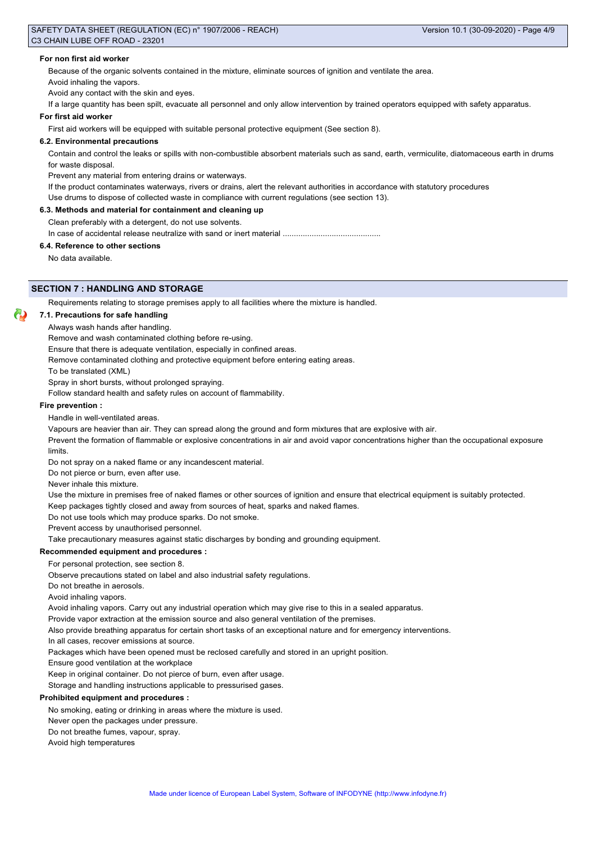### **For non first aid worker**

Because of the organic solvents contained in the mixture, eliminate sources of ignition and ventilate the area.

Avoid inhaling the vapors.

Avoid any contact with the skin and eyes.

If a large quantity has been spilt, evacuate all personnel and only allow intervention by trained operators equipped with safety apparatus.

#### **For first aid worker**

First aid workers will be equipped with suitable personal protective equipment (See section 8).

#### **6.2. Environmental precautions**

Contain and control the leaks or spills with non-combustible absorbent materials such as sand, earth, vermiculite, diatomaceous earth in drums for waste disposal.

Prevent any material from entering drains or waterways.

If the product contaminates waterways, rivers or drains, alert the relevant authorities in accordance with statutory procedures

Use drums to dispose of collected waste in compliance with current regulations (see section 13).

### **6.3. Methods and material for containment and cleaning up**

Clean preferably with a detergent, do not use solvents.

In case of accidental release neutralize with sand or inert material ............................................

### **6.4. Reference to other sections**

No data available.

### **SECTION 7 : HANDLING AND STORAGE**

Requirements relating to storage premises apply to all facilities where the mixture is handled.

### **7.1. Precautions for safe handling**

Always wash hands after handling.

Remove and wash contaminated clothing before re-using.

Ensure that there is adequate ventilation, especially in confined areas.

Remove contaminated clothing and protective equipment before entering eating areas.

To be translated (XML)

Spray in short bursts, without prolonged spraying.

Follow standard health and safety rules on account of flammability.

#### **Fire prevention :**

Handle in well-ventilated areas.

Vapours are heavier than air. They can spread along the ground and form mixtures that are explosive with air.

Prevent the formation of flammable or explosive concentrations in air and avoid vapor concentrations higher than the occupational exposure limits.

Do not spray on a naked flame or any incandescent material.

Do not pierce or burn, even after use.

Never inhale this mixture.

Use the mixture in premises free of naked flames or other sources of ignition and ensure that electrical equipment is suitably protected.

Keep packages tightly closed and away from sources of heat, sparks and naked flames.

Do not use tools which may produce sparks. Do not smoke.

Prevent access by unauthorised personnel.

Take precautionary measures against static discharges by bonding and grounding equipment.

#### **Recommended equipment and procedures :**

For personal protection, see section 8.

Observe precautions stated on label and also industrial safety regulations.

Do not breathe in aerosols.

Avoid inhaling vapors.

Avoid inhaling vapors. Carry out any industrial operation which may give rise to this in a sealed apparatus.

Provide vapor extraction at the emission source and also general ventilation of the premises.

Also provide breathing apparatus for certain short tasks of an exceptional nature and for emergency interventions.

In all cases, recover emissions at source.

Packages which have been opened must be reclosed carefully and stored in an upright position.

Ensure good ventilation at the workplace

Keep in original container. Do not pierce of burn, even after usage.

Storage and handling instructions applicable to pressurised gases.

### **Prohibited equipment and procedures :**

No smoking, eating or drinking in areas where the mixture is used.

Never open the packages under pressure.

Do not breathe fumes, vapour, spray.

Avoid high temperatures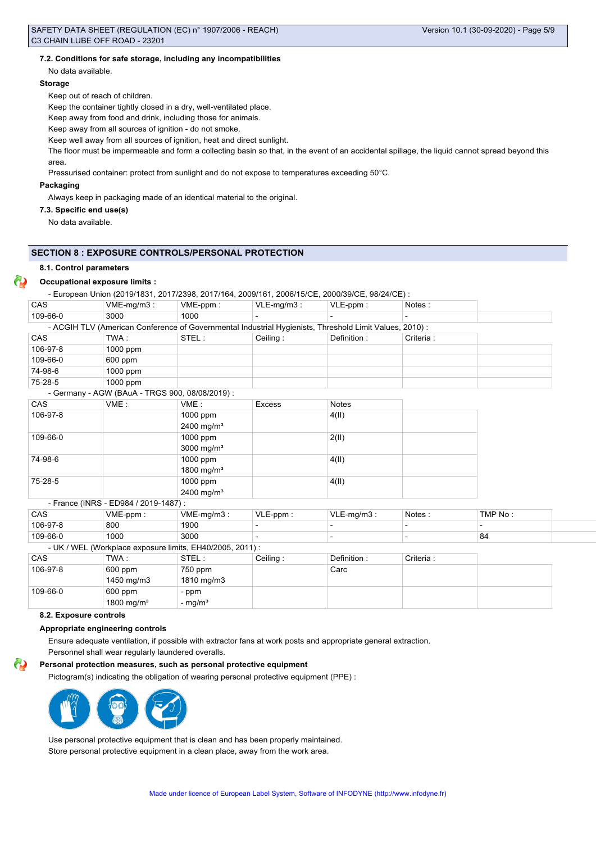#### **7.2. Conditions for safe storage, including any incompatibilities**

No data available.

#### **Storage**

Keep out of reach of children.

Keep the container tightly closed in a dry, well-ventilated place.

Keep away from food and drink, including those for animals.

Keep away from all sources of ignition - do not smoke.

Keep well away from all sources of ignition, heat and direct sunlight.

The floor must be impermeable and form a collecting basin so that, in the event of an accidental spillage, the liquid cannot spread beyond this area.

Pressurised container: protect from sunlight and do not expose to temperatures exceeding 50°C.

### **Packaging**

Always keep in packaging made of an identical material to the original.

### **7.3. Specific end use(s)**

No data available.

### **SECTION 8 : EXPOSURE CONTROLS/PERSONAL PROTECTION**

#### **8.1. Control parameters**

#### **Occupational exposure limits :**

- European Union (2019/1831, 2017/2398, 2017/164, 2009/161, 2006/15/CE, 2000/39/CE, 98/24/CE) : CAS  $\vert$  VME-mg/m3 :  $\vert$  VME-ppm :  $\vert$  VLE-mg/m3 :  $\vert$  VLE-ppm : Notes : 109-66-0 3000 1000 - - - - ACGIH TLV (American Conference of Governmental Industrial Hygienists, Threshold Limit Values, 2010) : CAS TWA : STEL : Ceiling : Definition : Criteria : 106-97-8 1000 ppm 109-66-0 600 ppm 74-98-6 1000 ppm 75-28-5 1000 ppm - Germany - AGW (BAuA - TRGS 900, 08/08/2019) : CAS VME : VME : VME : Excess Notes 106-97-8 1000 ppm 4(II) 2400 mg/m<sup>3</sup> 109-66-0 | 1000 ppm 2(II) 3000 mg/m³ 74-98-6 and 1000 ppm and 1000 ppm and 1000 pm and 1000 pm and 14(II) 1800 mg/m³ 75-28-5 1000 ppm 4(II) 2400 mg/m<sup>3</sup> - France (INRS - ED984 / 2019-1487) : CAS VME-ppm : VME-mg/m3 : VLE-ppm : VLE-mg/m3 : Notes : TMP No :

### - UK / WEL (Workplace exposure limits, EH40/2005, 2011) :

| CAS      | TWA:                   | STEL:      | Ceiling: | Definition: | Criteria: |  |
|----------|------------------------|------------|----------|-------------|-----------|--|
| 106-97-8 | 600 ppm                | 750 ppm    |          | Carc        |           |  |
|          | 1450 mg/m3             | 1810 mg/m3 |          |             |           |  |
| 109-66-0 | 600 ppm                | - ppm      |          |             |           |  |
|          | 1800 mg/m <sup>3</sup> | - $mg/m3$  |          |             |           |  |

#### **8.2. Exposure controls**

#### **Appropriate engineering controls**

Ensure adequate ventilation, if possible with extractor fans at work posts and appropriate general extraction. Personnel shall wear regularly laundered overalls.

106-97-8 800 1900 - - - - 109-66-0 | 1000 | 3000 | - | - | - | - | - | 84

#### **Personal protection measures, such as personal protective equipment**

Pictogram(s) indicating the obligation of wearing personal protective equipment (PPE) :



Use personal protective equipment that is clean and has been properly maintained. Store personal protective equipment in a clean place, away from the work area.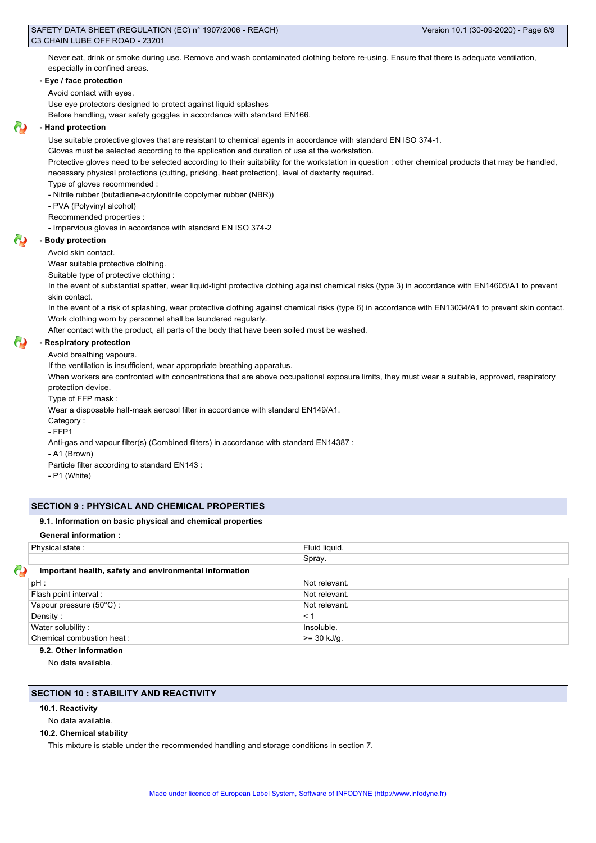Never eat, drink or smoke during use. Remove and wash contaminated clothing before re-using. Ensure that there is adequate ventilation, especially in confined areas.

### **- Eye / face protection**

### Avoid contact with eyes.

Use eye protectors designed to protect against liquid splashes

Before handling, wear safety goggles in accordance with standard EN166.

### **- Hand protection**

Use suitable protective gloves that are resistant to chemical agents in accordance with standard EN ISO 374-1.

Gloves must be selected according to the application and duration of use at the workstation.

Protective gloves need to be selected according to their suitability for the workstation in question : other chemical products that may be handled, necessary physical protections (cutting, pricking, heat protection), level of dexterity required.

Type of gloves recommended :

- Nitrile rubber (butadiene-acrylonitrile copolymer rubber (NBR))

- PVA (Polyvinyl alcohol)
- Recommended properties :

- Impervious gloves in accordance with standard EN ISO 374-2

#### **- Body protection**

Avoid skin contact.

Wear suitable protective clothing.

Suitable type of protective clothing :

In the event of substantial spatter, wear liquid-tight protective clothing against chemical risks (type 3) in accordance with EN14605/A1 to prevent skin contact.

In the event of a risk of splashing, wear protective clothing against chemical risks (type 6) in accordance with EN13034/A1 to prevent skin contact. Work clothing worn by personnel shall be laundered regularly.

After contact with the product, all parts of the body that have been soiled must be washed.

#### **- Respiratory protection**

Avoid breathing vapours.

If the ventilation is insufficient, wear appropriate breathing apparatus.

When workers are confronted with concentrations that are above occupational exposure limits, they must wear a suitable, approved, respiratory protection device.

Type of FFP mask :

Wear a disposable half-mask aerosol filter in accordance with standard EN149/A1.

Category :

- FFP1

Anti-gas and vapour filter(s) (Combined filters) in accordance with standard EN14387 :

- A1 (Brown)

Particle filter according to standard EN143 :

- P1 (White)

### **SECTION 9 : PHYSICAL AND CHEMICAL PROPERTIES**

#### **9.1. Information on basic physical and chemical properties**

### **General information :**

| Dh<br>state | . .<br>' liauid<br>---<br>u |
|-------------|-----------------------------|
|             | Spray.<br>. .               |

### **Important health, safety and environmental information**

| $pH$ :                    | Not relevant.    |
|---------------------------|------------------|
| Flash point interval:     | Not relevant.    |
| Vapour pressure (50°C) :  | Not relevant.    |
| Density:                  | $\prec$ $\gamma$ |
| Water solubility:         | Insoluble.       |
| Chemical combustion heat: | $>= 30$ kJ/g.    |

### **9.2. Other information**

No data available.

### **SECTION 10 : STABILITY AND REACTIVITY**

**10.1. Reactivity**

No data available.

#### **10.2. Chemical stability**

This mixture is stable under the recommended handling and storage conditions in section 7.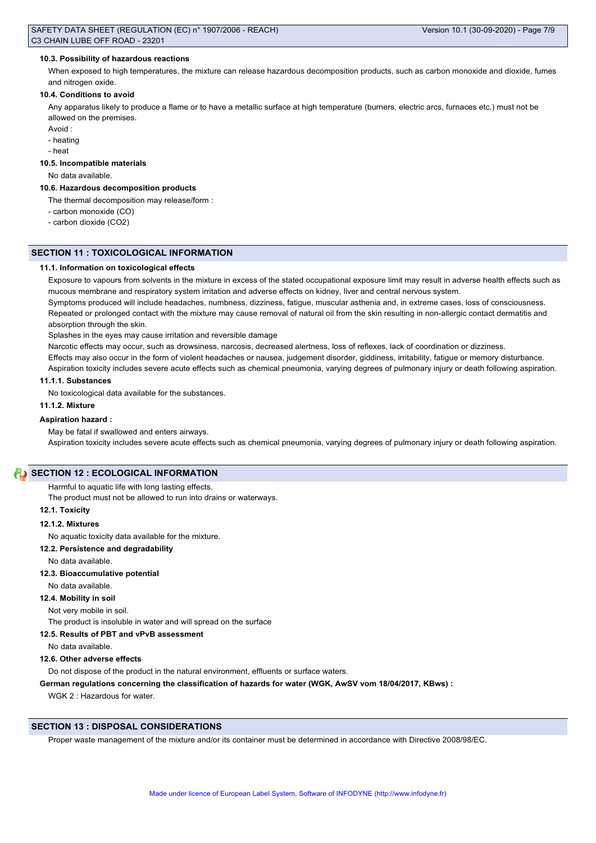#### **10.3. Possibility of hazardous reactions**

When exposed to high temperatures, the mixture can release hazardous decomposition products, such as carbon monoxide and dioxide, fumes and nitrogen oxide.

### **10.4. Conditions to avoid**

Any apparatus likely to produce a flame or to have a metallic surface at high temperature (burners, electric arcs, furnaces etc.) must not be allowed on the premises.

- Avoid :
- heating
- heat

### **10.5. Incompatible materials**

No data available.

### **10.6. Hazardous decomposition products**

The thermal decomposition may release/form :

- carbon monoxide (CO)
- carbon dioxide (CO2)

# **SECTION 11 : TOXICOLOGICAL INFORMATION**

### **11.1. Information on toxicological effects**

Exposure to vapours from solvents in the mixture in excess of the stated occupational exposure limit may result in adverse health effects such as mucous membrane and respiratory system irritation and adverse effects on kidney, liver and central nervous system.

Symptoms produced will include headaches, numbness, dizziness, fatigue, muscular asthenia and, in extreme cases, loss of consciousness. Repeated or prolonged contact with the mixture may cause removal of natural oil from the skin resulting in non-allergic contact dermatitis and absorption through the skin.

Splashes in the eyes may cause irritation and reversible damage

Narcotic effects may occur, such as drowsiness, narcosis, decreased alertness, loss of reflexes, lack of coordination or dizziness. Effects may also occur in the form of violent headaches or nausea, judgement disorder, giddiness, irritability, fatigue or memory disturbance. Aspiration toxicity includes severe acute effects such as chemical pneumonia, varying degrees of pulmonary injury or death following aspiration.

### **11.1.1. Substances**

No toxicological data available for the substances.

### **11.1.2. Mixture**

### **Aspiration hazard :**

May be fatal if swallowed and enters airways.

Aspiration toxicity includes severe acute effects such as chemical pneumonia, varying degrees of pulmonary injury or death following aspiration.

# **SECTION 12 : ECOLOGICAL INFORMATION**

Harmful to aquatic life with long lasting effects.

The product must not be allowed to run into drains or waterways.

### **12.1. Toxicity**

#### **12.1.2. Mixtures**

No aquatic toxicity data available for the mixture.

#### **12.2. Persistence and degradability**

No data available.

### **12.3. Bioaccumulative potential**

No data available.

### **12.4. Mobility in soil**

Not very mobile in soil.

The product is insoluble in water and will spread on the surface

### **12.5. Results of PBT and vPvB assessment**

No data available.

#### **12.6. Other adverse effects**

Do not dispose of the product in the natural environment, effluents or surface waters.

### **German regulations concerning the classification of hazards for water (WGK, AwSV vom 18/04/2017, KBws) :**

WGK 2 : Hazardous for water.

### **SECTION 13 : DISPOSAL CONSIDERATIONS**

Proper waste management of the mixture and/or its container must be determined in accordance with Directive 2008/98/EC.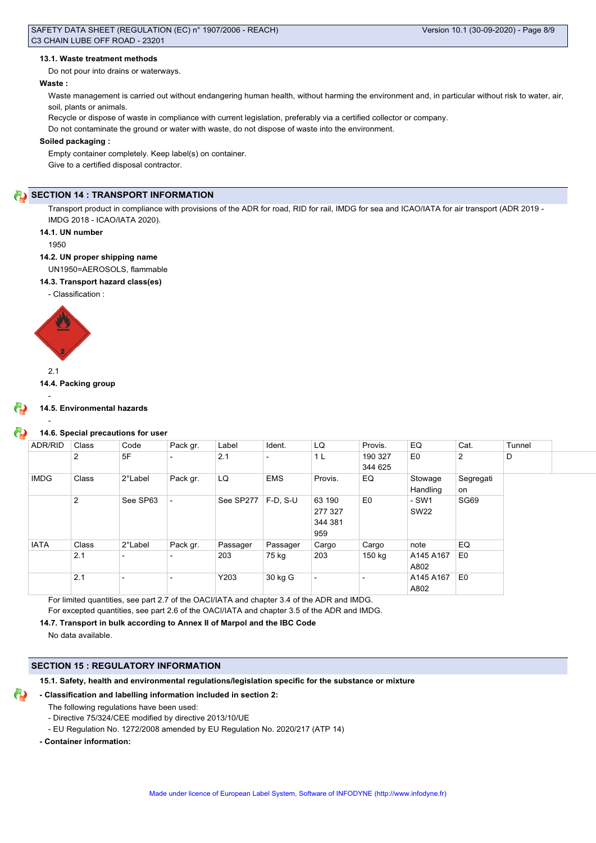### **13.1. Waste treatment methods**

Do not pour into drains or waterways.

### **Waste :**

Waste management is carried out without endangering human health, without harming the environment and, in particular without risk to water, air, soil, plants or animals.

Recycle or dispose of waste in compliance with current legislation, preferably via a certified collector or company.

Do not contaminate the ground or water with waste, do not dispose of waste into the environment.

### **Soiled packaging :**

Empty container completely. Keep label(s) on container. Give to a certified disposal contractor.

# **SECTION 14 : TRANSPORT INFORMATION**

Transport product in compliance with provisions of the ADR for road, RID for rail, IMDG for sea and ICAO/IATA for air transport (ADR 2019 - IMDG 2018 - ICAO/IATA 2020).

# **14.1. UN number**

1950

### **14.2. UN proper shipping name**

UN1950=AEROSOLS, flammable

### **14.3. Transport hazard class(es)**

- Classification :



-

-

2.1 **14.4. Packing group**

### **14.5. Environmental hazards**

### **14.6. Special precautions for user**

| ADR/RID     | Class          | Code                     | Pack gr.                 | Label     | Ident.                   | LQ                                  | Provis.            | EQ                    | Cat.            | Tunnel |  |
|-------------|----------------|--------------------------|--------------------------|-----------|--------------------------|-------------------------------------|--------------------|-----------------------|-----------------|--------|--|
|             | 2              | 5F                       | $\overline{\phantom{0}}$ | 2.1       | $\overline{\phantom{0}}$ | 1 <sub>L</sub>                      | 190 327<br>344 625 | E <sub>0</sub>        | $\overline{2}$  | D      |  |
| <b>IMDG</b> | Class          | 2°Label                  | Pack gr.                 | LQ        | <b>EMS</b>               | Provis.                             | EQ                 | Stowage<br>Handling   | Segregati<br>on |        |  |
|             | $\overline{2}$ | See SP63                 |                          | See SP277 | $F-D. S-U$               | 63 190<br>277 327<br>344 381<br>959 | E <sub>0</sub>     | $-SW1$<br><b>SW22</b> | <b>SG69</b>     |        |  |
| <b>IATA</b> | Class          | 2°Label                  | Pack gr.                 | Passager  | Passager                 | Cargo                               | Cargo              | note                  | EQ              |        |  |
|             | 2.1            | $\overline{\phantom{0}}$ | $\overline{\phantom{0}}$ | 203       | 75 kg                    | 203                                 | 150 kg             | A145 A167<br>A802     | E0              |        |  |
|             | 2.1            | $\overline{\phantom{a}}$ | $\overline{\phantom{0}}$ | Y203      | 30 kg G                  | $\overline{\phantom{a}}$            |                    | A145 A167<br>A802     | E0              |        |  |

For limited quantities, see part 2.7 of the OACI/IATA and chapter 3.4 of the ADR and IMDG.

For excepted quantities, see part 2.6 of the OACI/IATA and chapter 3.5 of the ADR and IMDG.

**14.7. Transport in bulk according to Annex II of Marpol and the IBC Code**

# No data available.

### **SECTION 15 : REGULATORY INFORMATION**

**15.1. Safety, health and environmental regulations/legislation specific for the substance or mixture**

### **- Classification and labelling information included in section 2:**

# The following regulations have been used:

- Directive 75/324/CEE modified by directive 2013/10/UE
- EU Regulation No. 1272/2008 amended by EU Regulation No. 2020/217 (ATP 14)
- **Container information:**